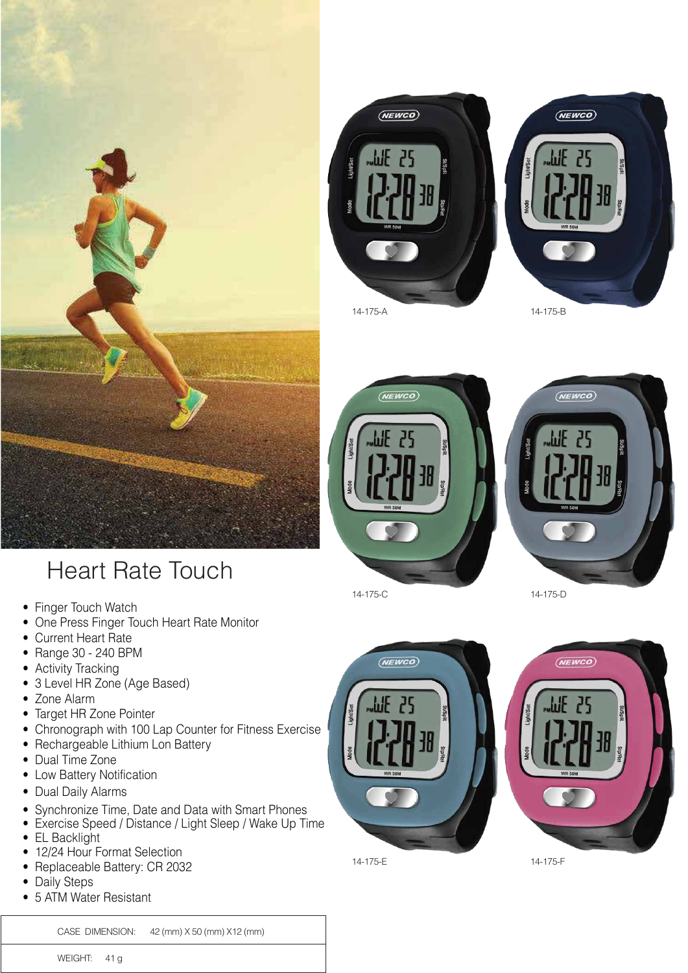









14-175-C 14-175-D

 $(NEWCO)$ 

ЫF  $70$ 



14-175-E 14-175-F

## Heart Rate Touch

- Finger Touch Watch
- One Press Finger Touch Heart Rate Monitor
- Current Heart Rate
- Range 30 240 BPM
- Activity Tracking
- 3 Level HR Zone (Age Based)
- Zone Alarm
- Target HR Zone Pointer
- Chronograph with 100 Lap Counter for Fitness Exercise
- Rechargeable Lithium Lon Battery
- Dual Time Zone
- Low Battery Notification
- Dual Daily Alarms
- Synchronize Time, Date and Data with Smart Phones
- Exercise Speed / Distance / Light Sleep / Wake Up Time
- EL Backlight
- 12/24 Hour Format Selection
- Replaceable Battery: CR 2032
- Daily Steps
- 5 ATM Water Resistant